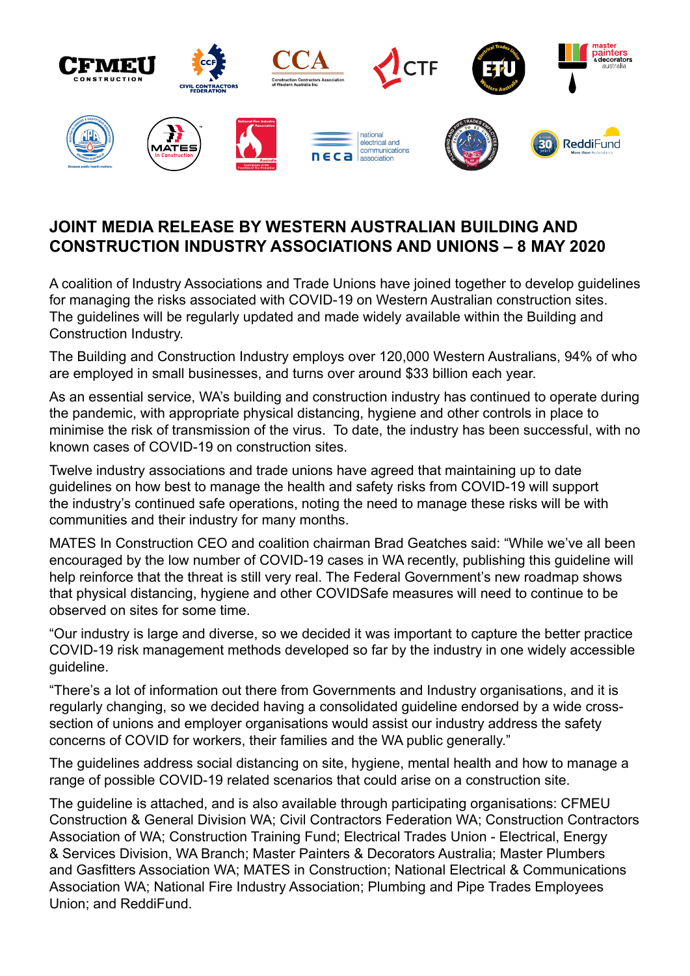

# **JOINT MEDIA RELEASE BY WESTERN AUSTRALIAN BUILDING AND CONSTRUCTION INDUSTRY ASSOCIATIONS AND UNIONS – 8 MAY 2020**

A coalition of Industry Associations and Trade Unions have joined together to develop guidelines for managing the risks associated with COVID-19 on Western Australian construction sites. The guidelines will be regularly updated and made widely available within the Building and Construction Industry.

The Building and Construction Industry employs over 120,000 Western Australians, 94% of who are employed in small businesses, and turns over around \$33 billion each year.

As an essential service, WA's building and construction industry has continued to operate during the pandemic, with appropriate physical distancing, hygiene and other controls in place to minimise the risk of transmission of the virus. To date, the industry has been successful, with no known cases of COVID-19 on construction sites.

Twelve industry associations and trade unions have agreed that maintaining up to date guidelines on how best to manage the health and safety risks from COVID-19 will support the industry's continued safe operations, noting the need to manage these risks will be with communities and their industry for many months.

MATES In Construction CEO and coalition chairman Brad Geatches said: "While we've all been encouraged by the low number of COVID-19 cases in WA recently, publishing this guideline will help reinforce that the threat is still very real. The Federal Government's new roadmap shows that physical distancing, hygiene and other COVIDSafe measures will need to continue to be observed on sites for some time.

"Our industry is large and diverse, so we decided it was important to capture the better practice COVID-19 risk management methods developed so far by the industry in one widely accessible guideline.

"There's a lot of information out there from Governments and Industry organisations, and it is regularly changing, so we decided having a consolidated guideline endorsed by a wide crosssection of unions and employer organisations would assist our industry address the safety concerns of COVID for workers, their families and the WA public generally."

The guidelines address social distancing on site, hygiene, mental health and how to manage a range of possible COVID-19 related scenarios that could arise on a construction site.

The guideline is attached, and is also available through participating organisations: CFMEU Construction & General Division WA; Civil Contractors Federation WA; Construction Contractors Association of WA; Construction Training Fund; Electrical Trades Union - Electrical, Energy & Services Division, WA Branch; Master Painters & Decorators Australia; Master Plumbers and Gasfitters Association WA; MATES in Construction; National Electrical & Communications Association WA; National Fire Industry Association; Plumbing and Pipe Trades Employees Union; and ReddiFund.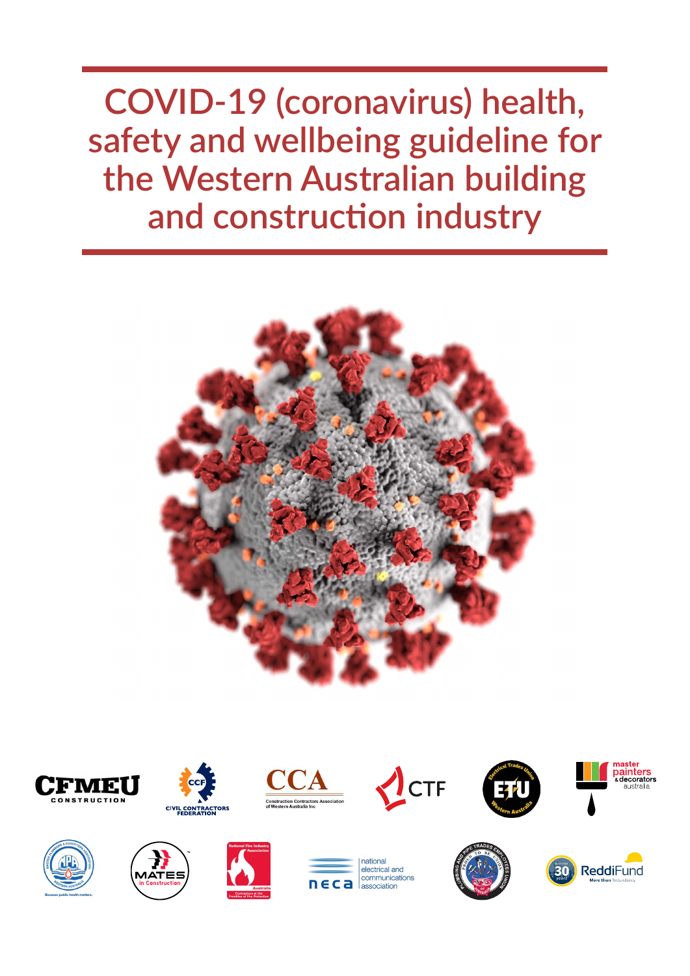**COVID-19 (coronavirus) health, safety and wellbeing guideline for the Western Australian building and construction industry**























potional electrical and communications  $C<sub>2</sub>$ association



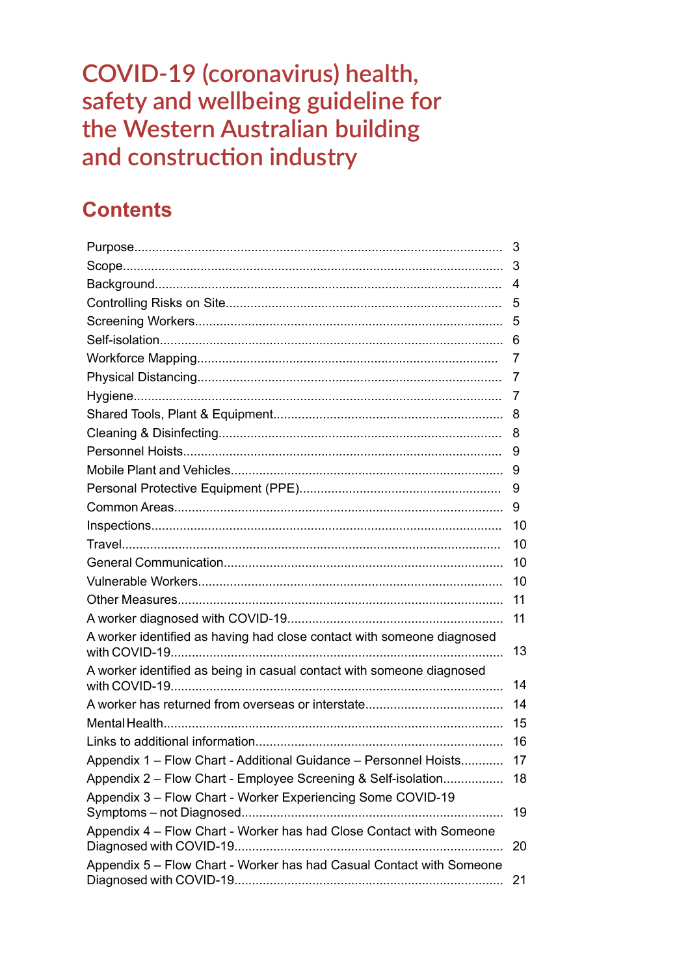COVID-19 (coronavirus) health, safety and wellbeing guideline for the Western Australian building and construction industry

# **Contents**

|                                                                        | 3  |
|------------------------------------------------------------------------|----|
|                                                                        |    |
|                                                                        | 4  |
|                                                                        | 5  |
|                                                                        |    |
|                                                                        |    |
|                                                                        | 7  |
|                                                                        | 7  |
|                                                                        | 7  |
|                                                                        |    |
|                                                                        | 8  |
|                                                                        | 9  |
|                                                                        | 9  |
|                                                                        | 9  |
|                                                                        | 9  |
|                                                                        | 10 |
|                                                                        | 10 |
|                                                                        | 10 |
|                                                                        | 10 |
|                                                                        | 11 |
|                                                                        | 11 |
| A worker identified as having had close contact with someone diagnosed | 13 |
| A worker identified as being in casual contact with someone diagnosed  |    |
|                                                                        | 14 |
|                                                                        | 14 |
|                                                                        | 15 |
|                                                                        | 16 |
| Appendix 1 - Flow Chart - Additional Guidance - Personnel Hoists       | 17 |
| Appendix 2 – Flow Chart - Employee Screening & Self-isolation          | 18 |
| Appendix 3 - Flow Chart - Worker Experiencing Some COVID-19            | 19 |
| Appendix 4 - Flow Chart - Worker has had Close Contact with Someone    | 20 |
| Appendix 5 - Flow Chart - Worker has had Casual Contact with Someone   | 21 |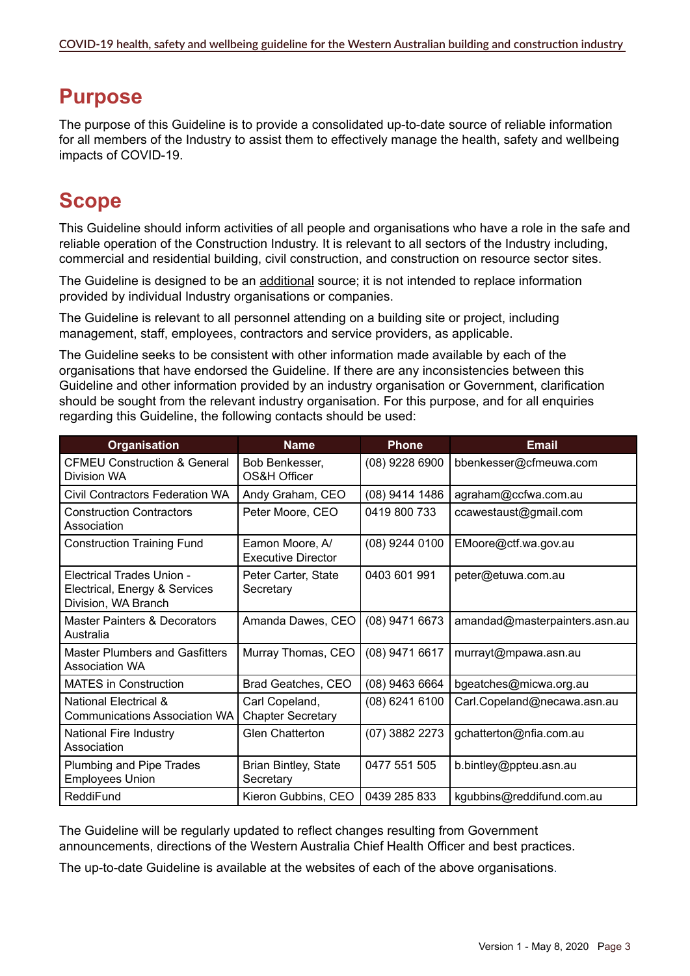# **Purpose**

The purpose of this Guideline is to provide a consolidated up-to-date source of reliable information for all members of the Industry to assist them to effectively manage the health, safety and wellbeing impacts of COVID-19.

# **Scope**

This Guideline should inform activities of all people and organisations who have a role in the safe and reliable operation of the Construction Industry. It is relevant to all sectors of the Industry including, commercial and residential building, civil construction, and construction on resource sector sites.

The Guideline is designed to be an additional source; it is not intended to replace information provided by individual Industry organisations or companies.

The Guideline is relevant to all personnel attending on a building site or project, including management, staff, employees, contractors and service providers, as applicable.

The Guideline seeks to be consistent with other information made available by each of the organisations that have endorsed the Guideline. If there are any inconsistencies between this Guideline and other information provided by an industry organisation or Government, clarification should be sought from the relevant industry organisation. For this purpose, and for all enquiries regarding this Guideline, the following contacts should be used:

| <b>Organisation</b>                                                                      | <b>Name</b>                                  | <b>Phone</b>     | <b>Email</b>                  |
|------------------------------------------------------------------------------------------|----------------------------------------------|------------------|-------------------------------|
| <b>CFMEU Construction &amp; General</b><br>Division WA                                   | Bob Benkesser,<br>OS&H Officer               | (08) 9228 6900   | bbenkesser@cfmeuwa.com        |
| <b>Civil Contractors Federation WA</b>                                                   | Andy Graham, CEO                             | (08) 9414 1486   | agraham@ccfwa.com.au          |
| <b>Construction Contractors</b><br>Association                                           | Peter Moore, CEO                             | 0419 800 733     | ccawestaust@gmail.com         |
| <b>Construction Training Fund</b>                                                        | Eamon Moore, A/<br><b>Executive Director</b> | (08) 9244 0100   | EMoore@ctf.wa.gov.au          |
| <b>Electrical Trades Union -</b><br>Electrical, Energy & Services<br>Division, WA Branch | Peter Carter, State<br>Secretary             | 0403 601 991     | peter@etuwa.com.au            |
| Master Painters & Decorators<br>Australia                                                | Amanda Dawes, CEO                            | (08) 9471 6673   | amandad@masterpainters.asn.au |
| <b>Master Plumbers and Gasfitters</b><br><b>Association WA</b>                           | Murray Thomas, CEO                           | (08) 9471 6617   | murrayt@mpawa.asn.au          |
| <b>MATES</b> in Construction                                                             | Brad Geatches, CEO                           | (08) 9463 6664   | bgeatches@micwa.org.au        |
| <b>National Electrical &amp;</b><br><b>Communications Association WA</b>                 | Carl Copeland,<br><b>Chapter Secretary</b>   | $(08)$ 6241 6100 | Carl.Copeland@necawa.asn.au   |
| National Fire Industry<br>Association                                                    | <b>Glen Chatterton</b>                       | (07) 3882 2273   | gchatterton@nfia.com.au       |
| Plumbing and Pipe Trades<br><b>Employees Union</b>                                       | <b>Brian Bintley, State</b><br>Secretary     | 0477 551 505     | b.bintley@ppteu.asn.au        |
| ReddiFund                                                                                | Kieron Gubbins, CEO                          | 0439 285 833     | kgubbins@reddifund.com.au     |

The Guideline will be regularly updated to reflect changes resulting from Government announcements, directions of the Western Australia Chief Health Officer and best practices.

The up-to-date Guideline is available at the websites of each of the above organisations.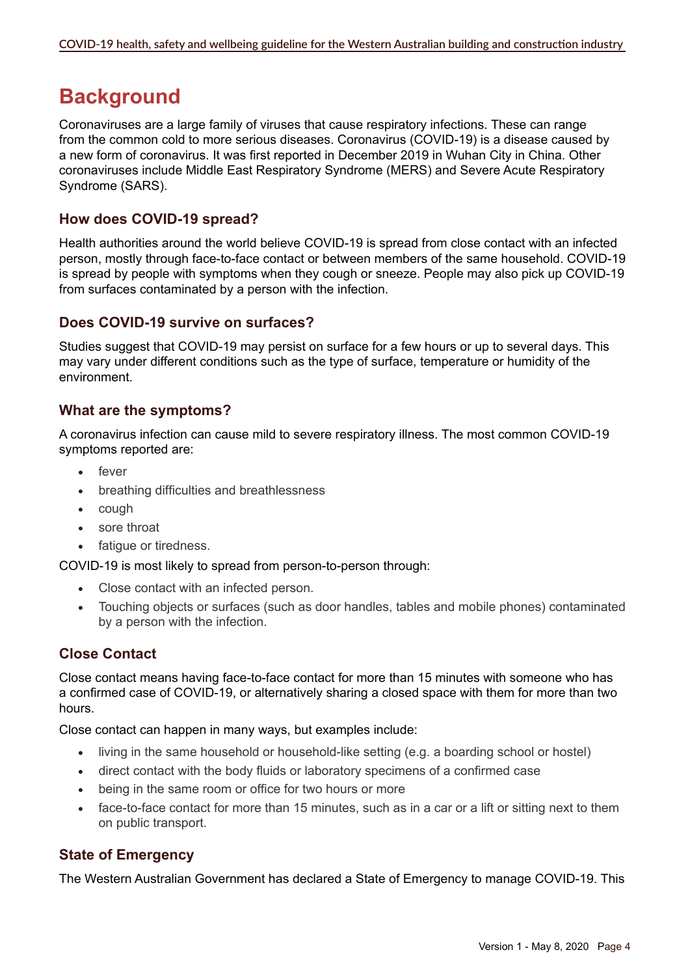# **Background**

Coronaviruses are a large family of viruses that cause respiratory infections. These can range from the common cold to more serious diseases. Coronavirus (COVID-19) is a disease caused by a new form of coronavirus. It was first reported in December 2019 in Wuhan City in China. Other coronaviruses include Middle East Respiratory Syndrome (MERS) and Severe Acute Respiratory Syndrome (SARS).

### **How does COVID-19 spread?**

Health authorities around the world believe COVID-19 is spread from close contact with an infected person, mostly through face-to-face contact or between members of the same household. COVID-19 is spread by people with symptoms when they cough or sneeze. People may also pick up COVID-19 from surfaces contaminated by a person with the infection.

### **Does COVID-19 survive on surfaces?**

Studies suggest that COVID-19 may persist on surface for a few hours or up to several days. This may vary under different conditions such as the type of surface, temperature or humidity of the environment.

# **What are the symptoms?**

A coronavirus infection can cause mild to severe respiratory illness. The most common COVID-19 symptoms reported are:

- fever
- breathing difficulties and breathlessness
- cough
- sore throat
- fatique or tiredness.

COVID-19 is most likely to spread from person-to-person through:

- Close contact with an infected person.
- Touching objects or surfaces (such as door handles, tables and mobile phones) contaminated by a person with the infection.

# **Close Contact**

Close contact means having face-to-face contact for more than 15 minutes with someone who has a confirmed case of COVID-19, or alternatively sharing a closed space with them for more than two hours.

Close contact can happen in many ways, but examples include:

- living in the same household or household-like setting (e.g. a boarding school or hostel)
- direct contact with the body fluids or laboratory specimens of a confirmed case
- being in the same room or office for two hours or more
- face-to-face contact for more than 15 minutes, such as in a car or a lift or sitting next to them on public transport.

#### **State of Emergency**

The Western Australian Government has declared a State of Emergency to manage COVID-19. This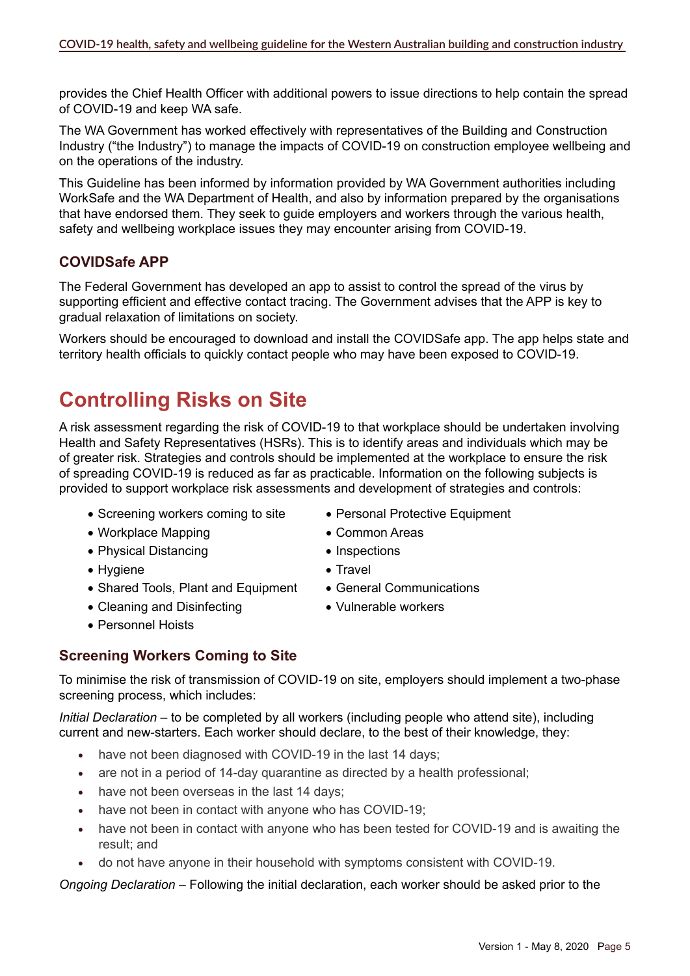provides the Chief Health Officer with additional powers to issue directions to help contain the spread of COVID-19 and keep WA safe.

The WA Government has worked effectively with representatives of the Building and Construction Industry ("the Industry") to manage the impacts of COVID-19 on construction employee wellbeing and on the operations of the industry.

This Guideline has been informed by information provided by WA Government authorities including WorkSafe and the WA Department of Health, and also by information prepared by the organisations that have endorsed them. They seek to guide employers and workers through the various health, safety and wellbeing workplace issues they may encounter arising from COVID-19.

# **COVIDSafe APP**

The Federal Government has developed an app to assist to control the spread of the virus by supporting efficient and effective contact tracing. The Government advises that the APP is key to gradual relaxation of limitations on society.

Workers should be encouraged to download and install the COVIDSafe app. The app helps state and territory health officials to quickly contact people who may have been exposed to COVID-19.

# **Controlling Risks on Site**

A risk assessment regarding the risk of COVID-19 to that workplace should be undertaken involving Health and Safety Representatives (HSRs). This is to identify areas and individuals which may be of greater risk. Strategies and controls should be implemented at the workplace to ensure the risk of spreading COVID-19 is reduced as far as practicable. Information on the following subjects is provided to support workplace risk assessments and development of strategies and controls:

- Screening workers coming to site Personal Protective Equipment
- • Workplace Mapping • Common Areas
- Physical Distancing Inspections
- Hygiene Travel
- Shared Tools, Plant and Equipment General Communications
- Cleaning and Disinfecting Vulnerable workers
- • Personnel Hoists
- 
- 
- 
- 
- 
- 

# **Screening Workers Coming to Site**

To minimise the risk of transmission of COVID-19 on site, employers should implement a two-phase screening process, which includes:

*Initial Declaration –* to be completed by all workers (including people who attend site), including current and new-starters. Each worker should declare, to the best of their knowledge, they:

- have not been diagnosed with COVID-19 in the last 14 days;
- are not in a period of 14-day quarantine as directed by a health professional;
- have not been overseas in the last 14 days;
- have not been in contact with anyone who has COVID-19;
- have not been in contact with anyone who has been tested for COVID-19 and is awaiting the result; and
- do not have anyone in their household with symptoms consistent with COVID-19.

*Ongoing Declaration –* Following the initial declaration, each worker should be asked prior to the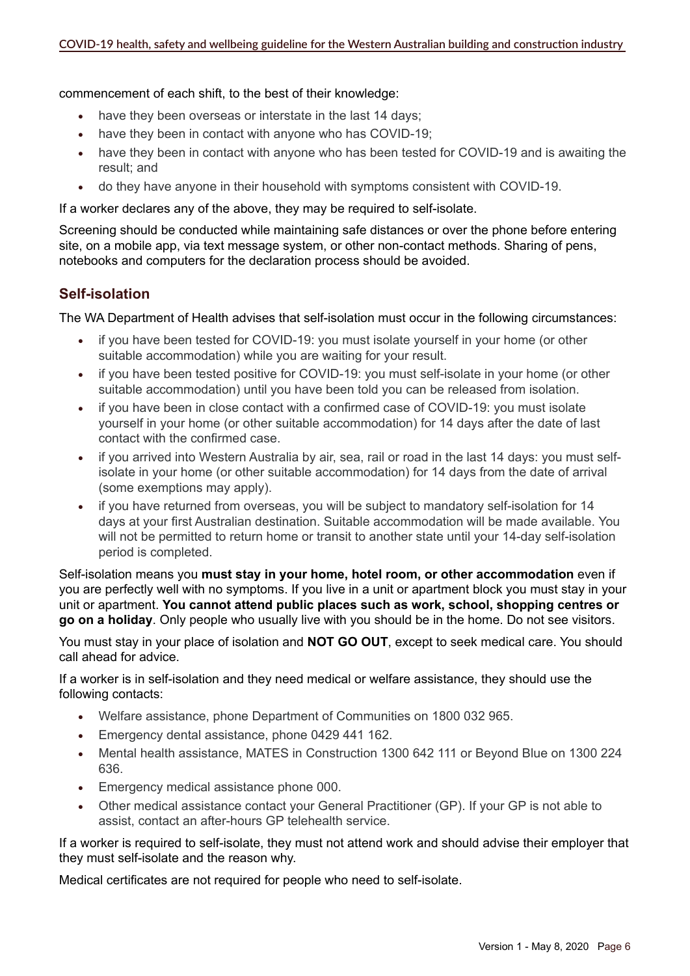commencement of each shift, to the best of their knowledge:

- have they been overseas or interstate in the last 14 days;
- have they been in contact with anyone who has COVID-19;
- have they been in contact with anyone who has been tested for COVID-19 and is awaiting the result; and
- do they have anyone in their household with symptoms consistent with COVID-19.

If a worker declares any of the above, they may be required to self-isolate.

Screening should be conducted while maintaining safe distances or over the phone before entering site, on a mobile app, via text message system, or other non-contact methods. Sharing of pens, notebooks and computers for the declaration process should be avoided.

### **Self-isolation**

The WA Department of Health advises that self-isolation must occur in the following circumstances:

- if you have been tested for COVID-19: you must isolate yourself in your home (or other suitable accommodation) while you are waiting for your result.
- if you have been tested positive for COVID-19: you must self-isolate in your home (or other suitable accommodation) until you have been told you can be released from isolation.
- if you have been in close contact with a confirmed case of COVID-19: you must isolate yourself in your home (or other suitable accommodation) for 14 days after the date of last contact with the confirmed case.
- if you arrived into Western Australia by air, sea, rail or road in the last 14 days: you must selfisolate in your home (or other suitable accommodation) for 14 days from the date of arrival (some exemptions may apply).
- if you have returned from overseas, you will be subject to mandatory self-isolation for 14 days at your first Australian destination. Suitable accommodation will be made available. You will not be permitted to return home or transit to another state until your 14-day self-isolation period is completed.

Self-isolation means you **must stay in your home, hotel room, or other accommodation** even if you are perfectly well with no symptoms. If you live in a unit or apartment block you must stay in your unit or apartment. **You cannot attend public places such as work, school, shopping centres or go on a holiday**. Only people who usually live with you should be in the home. Do not see visitors.

You must stay in your place of isolation and **NOT GO OUT**, except to seek medical care. You should call ahead for advice.

If a worker is in self-isolation and they need medical or welfare assistance, they should use the following contacts:

- Welfare assistance, phone Department of Communities on 1800 032 965.
- Emergency dental assistance, phone 0429 441 162.
- Mental health assistance, MATES in Construction 1300 642 111 or Beyond Blue on 1300 224 636.
- Emergency medical assistance phone 000.
- Other medical assistance contact your General Practitioner (GP). If your GP is not able to assist, contact an after-hours GP telehealth service.

If a worker is required to self-isolate, they must not attend work and should advise their employer that they must self-isolate and the reason why.

Medical certificates are not required for people who need to self-isolate.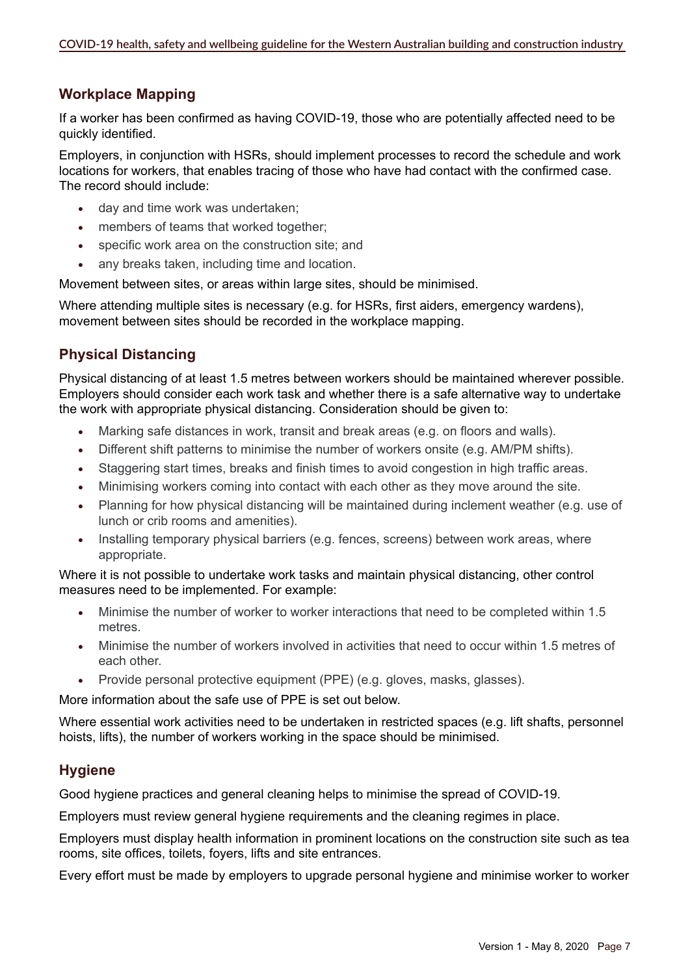# **Workplace Mapping**

If a worker has been confirmed as having COVID-19, those who are potentially affected need to be quickly identified.

Employers, in conjunction with HSRs, should implement processes to record the schedule and work locations for workers, that enables tracing of those who have had contact with the confirmed case. The record should include:

- day and time work was undertaken:
- members of teams that worked together;
- specific work area on the construction site; and
- any breaks taken, including time and location.

Movement between sites, or areas within large sites, should be minimised.

Where attending multiple sites is necessary (e.g. for HSRs, first aiders, emergency wardens), movement between sites should be recorded in the workplace mapping.

# **Physical Distancing**

Physical distancing of at least 1.5 metres between workers should be maintained wherever possible. Employers should consider each work task and whether there is a safe alternative way to undertake the work with appropriate physical distancing. Consideration should be given to:

- Marking safe distances in work, transit and break areas (e.g. on floors and walls).
- Different shift patterns to minimise the number of workers onsite (e.g. AM/PM shifts).
- Staggering start times, breaks and finish times to avoid congestion in high traffic areas.
- Minimising workers coming into contact with each other as they move around the site.
- Planning for how physical distancing will be maintained during inclement weather (e.g. use of lunch or crib rooms and amenities).
- Installing temporary physical barriers (e.g. fences, screens) between work areas, where appropriate.

Where it is not possible to undertake work tasks and maintain physical distancing, other control measures need to be implemented. For example:

- • Minimise the number of worker to worker interactions that need to be completed within 1.5 metres.
- Minimise the number of workers involved in activities that need to occur within 1.5 metres of each other.
- Provide personal protective equipment (PPE) (e.g. gloves, masks, glasses).

More information about the safe use of PPE is set out below.

Where essential work activities need to be undertaken in restricted spaces (e.g. lift shafts, personnel hoists, lifts), the number of workers working in the space should be minimised.

# **Hygiene**

Good hygiene practices and general cleaning helps to minimise the spread of COVID-19.

Employers must review general hygiene requirements and the cleaning regimes in place.

Employers must display health information in prominent locations on the construction site such as tea rooms, site offices, toilets, foyers, lifts and site entrances.

Every effort must be made by employers to upgrade personal hygiene and minimise worker to worker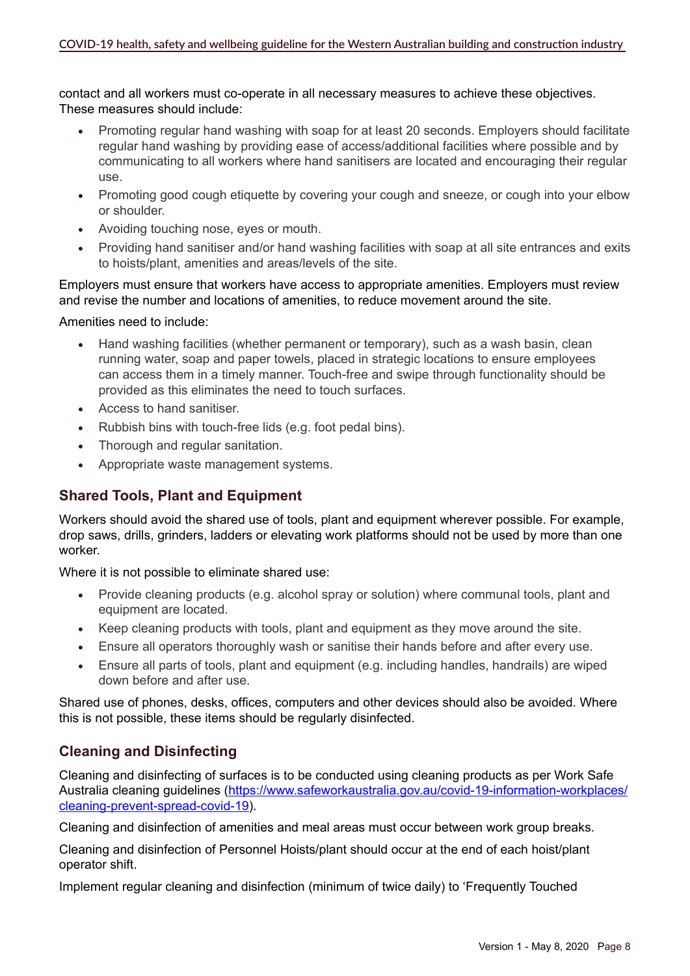contact and all workers must co-operate in all necessary measures to achieve these objectives. These measures should include:

- Promoting regular hand washing with soap for at least 20 seconds. Employers should facilitate regular hand washing by providing ease of access/additional facilities where possible and by communicating to all workers where hand sanitisers are located and encouraging their regular use.
- Promoting good cough etiquette by covering your cough and sneeze, or cough into your elbow or shoulder.
- • Avoiding touching nose, eyes or mouth.
- Providing hand sanitiser and/or hand washing facilities with soap at all site entrances and exits to hoists/plant, amenities and areas/levels of the site.

#### Employers must ensure that workers have access to appropriate amenities. Employers must review and revise the number and locations of amenities, to reduce movement around the site.

#### Amenities need to include:

- Hand washing facilities (whether permanent or temporary), such as a wash basin, clean running water, soap and paper towels, placed in strategic locations to ensure employees can access them in a timely manner. Touch-free and swipe through functionality should be provided as this eliminates the need to touch surfaces.
- Access to hand sanitiser.
- Rubbish bins with touch-free lids (e.g. foot pedal bins).
- Thorough and regular sanitation.
- Appropriate waste management systems.

# **Shared Tools, Plant and Equipment**

Workers should avoid the shared use of tools, plant and equipment wherever possible. For example, drop saws, drills, grinders, ladders or elevating work platforms should not be used by more than one worker.

Where it is not possible to eliminate shared use:

- Provide cleaning products (e.g. alcohol spray or solution) where communal tools, plant and equipment are located.
- Keep cleaning products with tools, plant and equipment as they move around the site.
- Ensure all operators thoroughly wash or sanitise their hands before and after every use.
- Ensure all parts of tools, plant and equipment (e.g. including handles, handrails) are wiped down before and after use.

Shared use of phones, desks, offices, computers and other devices should also be avoided. Where this is not possible, these items should be regularly disinfected.

# **Cleaning and Disinfecting**

Cleaning and disinfecting of surfaces is to be conducted using cleaning products as per Work Safe Australia cleaning guidelines [\(https://www.safeworkaustralia.gov.au/covid-19-information-workplaces/](https://www.safeworkaustralia.gov.au/covid-19-information-workplaces/cleaning-prevent-spread-covid-19) [cleaning-prevent-spread-covid-19\)](https://www.safeworkaustralia.gov.au/covid-19-information-workplaces/cleaning-prevent-spread-covid-19).

Cleaning and disinfection of amenities and meal areas must occur between work group breaks.

Cleaning and disinfection of Personnel Hoists/plant should occur at the end of each hoist/plant operator shift.

Implement regular cleaning and disinfection (minimum of twice daily) to 'Frequently Touched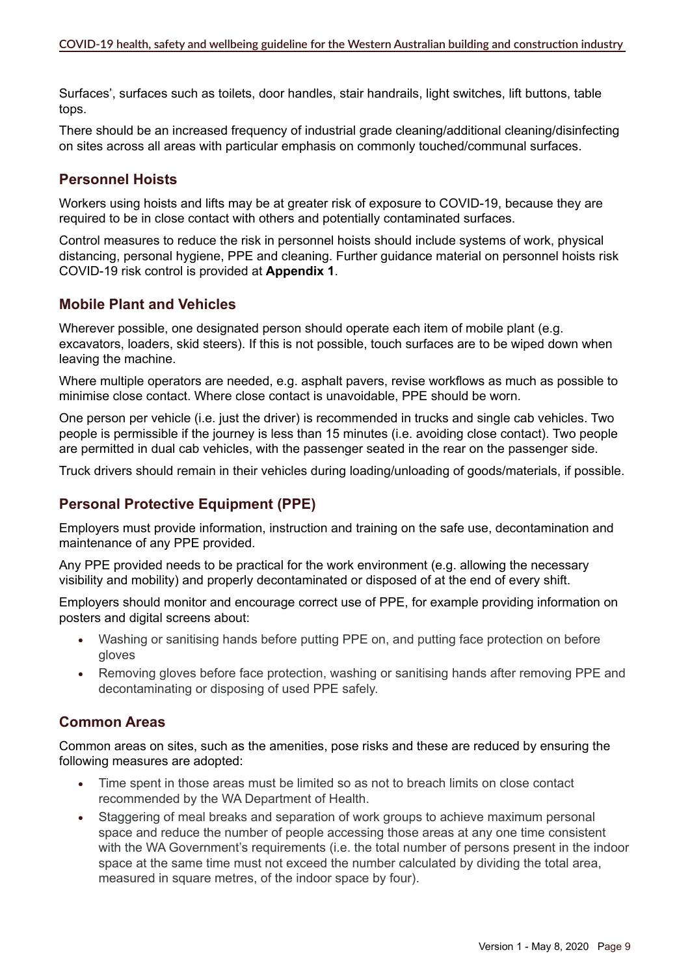Surfaces', surfaces such as toilets, door handles, stair handrails, light switches, lift buttons, table tops.

There should be an increased frequency of industrial grade cleaning/additional cleaning/disinfecting on sites across all areas with particular emphasis on commonly touched/communal surfaces.

### **Personnel Hoists**

Workers using hoists and lifts may be at greater risk of exposure to COVID-19, because they are required to be in close contact with others and potentially contaminated surfaces.

Control measures to reduce the risk in personnel hoists should include systems of work, physical distancing, personal hygiene, PPE and cleaning. Further guidance material on personnel hoists risk COVID-19 risk control is provided at **Appendix 1**.

### **Mobile Plant and Vehicles**

Wherever possible, one designated person should operate each item of mobile plant (e.g. excavators, loaders, skid steers). If this is not possible, touch surfaces are to be wiped down when leaving the machine.

Where multiple operators are needed, e.g. asphalt pavers, revise workflows as much as possible to minimise close contact. Where close contact is unavoidable, PPE should be worn.

One person per vehicle (i.e. just the driver) is recommended in trucks and single cab vehicles. Two people is permissible if the journey is less than 15 minutes (i.e. avoiding close contact). Two people are permitted in dual cab vehicles, with the passenger seated in the rear on the passenger side.

Truck drivers should remain in their vehicles during loading/unloading of goods/materials, if possible.

# **Personal Protective Equipment (PPE)**

Employers must provide information, instruction and training on the safe use, decontamination and maintenance of any PPE provided.

Any PPE provided needs to be practical for the work environment (e.g. allowing the necessary visibility and mobility) and properly decontaminated or disposed of at the end of every shift.

Employers should monitor and encourage correct use of PPE, for example providing information on posters and digital screens about:

- Washing or sanitising hands before putting PPE on, and putting face protection on before gloves
- Removing gloves before face protection, washing or sanitising hands after removing PPE and decontaminating or disposing of used PPE safely.

# **Common Areas**

Common areas on sites, such as the amenities, pose risks and these are reduced by ensuring the following measures are adopted:

- Time spent in those areas must be limited so as not to breach limits on close contact recommended by the WA Department of Health.
- Staggering of meal breaks and separation of work groups to achieve maximum personal space and reduce the number of people accessing those areas at any one time consistent with the WA Government's requirements (i.e. the total number of persons present in the indoor space at the same time must not exceed the number calculated by dividing the total area, measured in square metres, of the indoor space by four).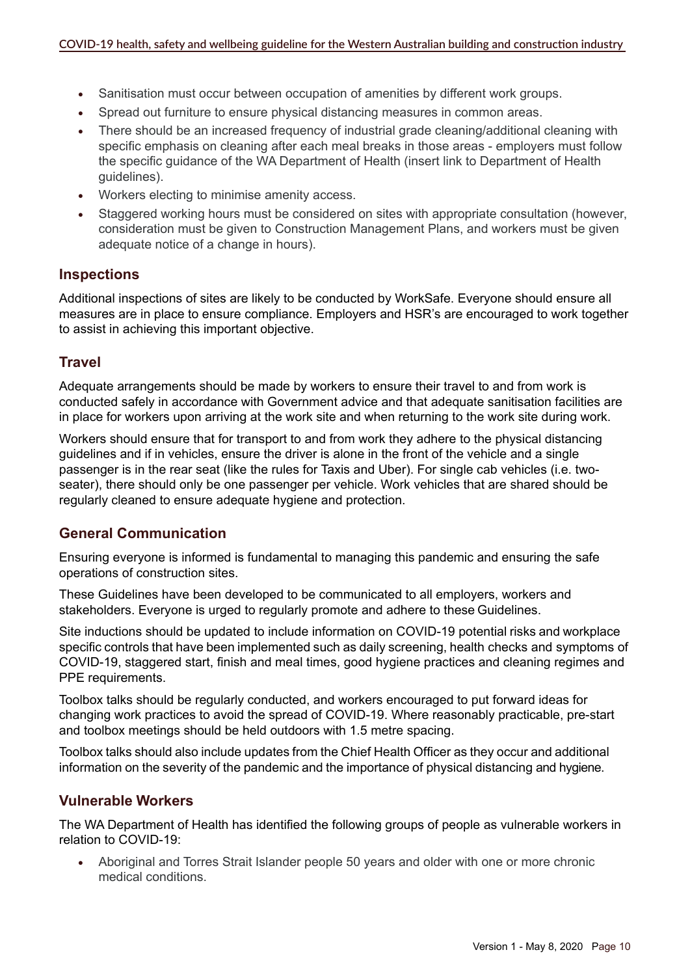- Sanitisation must occur between occupation of amenities by different work groups.
- Spread out furniture to ensure physical distancing measures in common areas.
- There should be an increased frequency of industrial grade cleaning/additional cleaning with specific emphasis on cleaning after each meal breaks in those areas - employers must follow the specific guidance of the WA Department of Health (insert link to Department of Health guidelines).
- Workers electing to minimise amenity access.
- Staggered working hours must be considered on sites with appropriate consultation (however, consideration must be given to Construction Management Plans, and workers must be given adequate notice of a change in hours).

#### **Inspections**

Additional inspections of sites are likely to be conducted by WorkSafe. Everyone should ensure all measures are in place to ensure compliance. Employers and HSR's are encouraged to work together to assist in achieving this important objective.

#### **Travel**

Adequate arrangements should be made by workers to ensure their travel to and from work is conducted safely in accordance with Government advice and that adequate sanitisation facilities are in place for workers upon arriving at the work site and when returning to the work site during work.

Workers should ensure that for transport to and from work they adhere to the physical distancing guidelines and if in vehicles, ensure the driver is alone in the front of the vehicle and a single passenger is in the rear seat (like the rules for Taxis and Uber). For single cab vehicles (i.e. twoseater), there should only be one passenger per vehicle. Work vehicles that are shared should be regularly cleaned to ensure adequate hygiene and protection.

#### **General Communication**

Ensuring everyone is informed is fundamental to managing this pandemic and ensuring the safe operations of construction sites.

These Guidelines have been developed to be communicated to all employers, workers and stakeholders. Everyone is urged to regularly promote and adhere to these Guidelines.

Site inductions should be updated to include information on COVID-19 potential risks and workplace specific controls that have been implemented such as daily screening, health checks and symptoms of COVID-19, staggered start, finish and meal times, good hygiene practices and cleaning regimes and PPE requirements.

Toolbox talks should be regularly conducted, and workers encouraged to put forward ideas for changing work practices to avoid the spread of COVID-19. Where reasonably practicable, pre-start and toolbox meetings should be held outdoors with 1.5 metre spacing.

Toolbox talks should also include updates from the Chief Health Officer as they occur and additional information on the severity of the pandemic and the importance of physical distancing and hygiene.

#### **Vulnerable Workers**

The WA Department of Health has identified the following groups of people as vulnerable workers in relation to COVID-19:

Aboriginal and Torres Strait Islander people 50 years and older with one or more chronic medical conditions.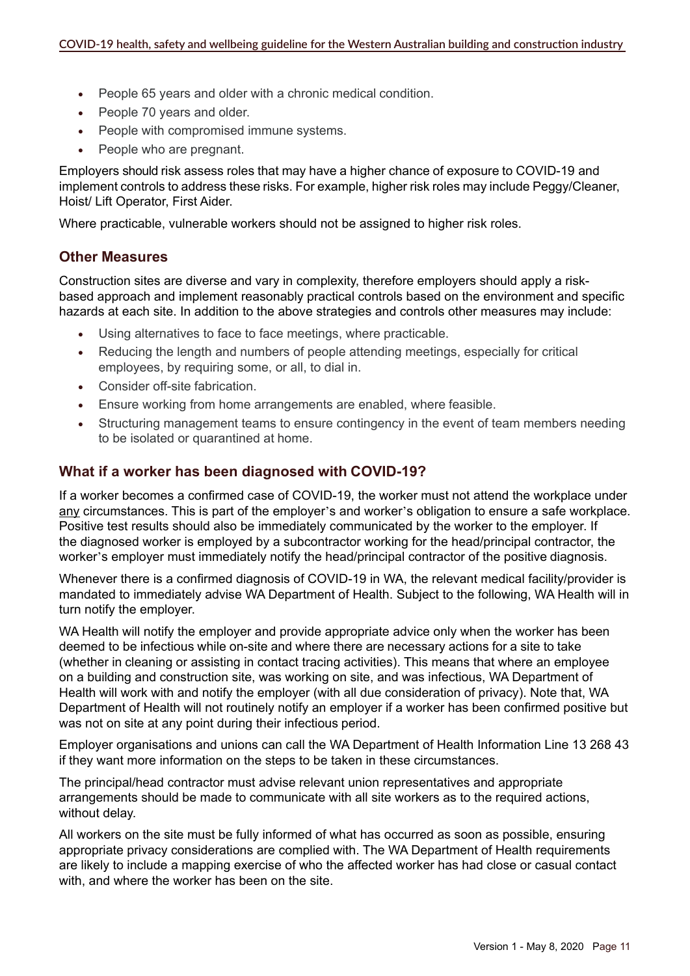- People 65 years and older with a chronic medical condition.
- People 70 years and older.
- People with compromised immune systems.
- People who are pregnant.

Employers should risk assess roles that may have a higher chance of exposure to COVID-19 and implement controls to address these risks. For example, higher risk roles may include Peggy/Cleaner, Hoist/ Lift Operator, First Aider.

Where practicable, vulnerable workers should not be assigned to higher risk roles.

#### **Other Measures**

Construction sites are diverse and vary in complexity, therefore employers should apply a riskbased approach and implement reasonably practical controls based on the environment and specific hazards at each site. In addition to the above strategies and controls other measures may include:

- Using alternatives to face to face meetings, where practicable.
- Reducing the length and numbers of people attending meetings, especially for critical employees, by requiring some, or all, to dial in.
- • Consider off-site fabrication.
- Ensure working from home arrangements are enabled, where feasible.
- Structuring management teams to ensure contingency in the event of team members needing to be isolated or quarantined at home.

#### **What if a worker has been diagnosed with COVID-19?**

If a worker becomes a confirmed case of COVID-19, the worker must not attend the workplace under any circumstances. This is part of the employer's and worker's obligation to ensure a safe workplace. Positive test results should also be immediately communicated by the worker to the employer. If the diagnosed worker is employed by a subcontractor working for the head/principal contractor, the worker's employer must immediately notify the head/principal contractor of the positive diagnosis.

Whenever there is a confirmed diagnosis of COVID-19 in WA, the relevant medical facility/provider is mandated to immediately advise WA Department of Health. Subject to the following, WA Health will in turn notify the employer.

WA Health will notify the employer and provide appropriate advice only when the worker has been deemed to be infectious while on-site and where there are necessary actions for a site to take (whether in cleaning or assisting in contact tracing activities). This means that where an employee on a building and construction site, was working on site, and was infectious, WA Department of Health will work with and notify the employer (with all due consideration of privacy). Note that, WA Department of Health will not routinely notify an employer if a worker has been confirmed positive but was not on site at any point during their infectious period.

Employer organisations and unions can call the WA Department of Health Information Line 13 268 43 if they want more information on the steps to be taken in these circumstances.

The principal/head contractor must advise relevant union representatives and appropriate arrangements should be made to communicate with all site workers as to the required actions, without delay.

All workers on the site must be fully informed of what has occurred as soon as possible, ensuring appropriate privacy considerations are complied with. The WA Department of Health requirements are likely to include a mapping exercise of who the affected worker has had close or casual contact with, and where the worker has been on the site.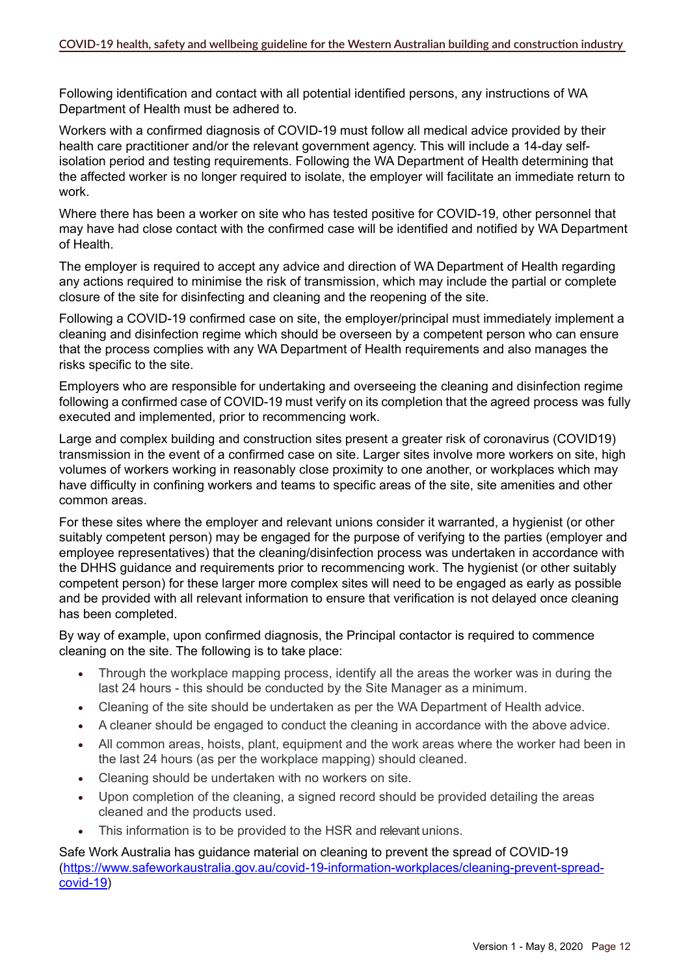Following identification and contact with all potential identified persons, any instructions of WA Department of Health must be adhered to.

Workers with a confirmed diagnosis of COVID-19 must follow all medical advice provided by their health care practitioner and/or the relevant government agency. This will include a 14-day selfisolation period and testing requirements. Following the WA Department of Health determining that the affected worker is no longer required to isolate, the employer will facilitate an immediate return to work.

Where there has been a worker on site who has tested positive for COVID-19, other personnel that may have had close contact with the confirmed case will be identified and notified by WA Department of Health.

The employer is required to accept any advice and direction of WA Department of Health regarding any actions required to minimise the risk of transmission, which may include the partial or complete closure of the site for disinfecting and cleaning and the reopening of the site.

Following a COVID-19 confirmed case on site, the employer/principal must immediately implement a cleaning and disinfection regime which should be overseen by a competent person who can ensure that the process complies with any WA Department of Health requirements and also manages the risks specific to the site.

Employers who are responsible for undertaking and overseeing the cleaning and disinfection regime following a confirmed case of COVID-19 must verify on its completion that the agreed process was fully executed and implemented, prior to recommencing work.

Large and complex building and construction sites present a greater risk of coronavirus (COVID19) transmission in the event of a confirmed case on site. Larger sites involve more workers on site, high volumes of workers working in reasonably close proximity to one another, or workplaces which may have difficulty in confining workers and teams to specific areas of the site, site amenities and other common areas.

For these sites where the employer and relevant unions consider it warranted, a hygienist (or other suitably competent person) may be engaged for the purpose of verifying to the parties (employer and employee representatives) that the cleaning/disinfection process was undertaken in accordance with the DHHS guidance and requirements prior to recommencing work. The hygienist (or other suitably competent person) for these larger more complex sites will need to be engaged as early as possible and be provided with all relevant information to ensure that verification is not delayed once cleaning has been completed.

By way of example, upon confirmed diagnosis, the Principal contactor is required to commence cleaning on the site. The following is to take place:

- Through the workplace mapping process, identify all the areas the worker was in during the last 24 hours - this should be conducted by the Site Manager as a minimum.
- Cleaning of the site should be undertaken as per the WA Department of Health advice.
- A cleaner should be engaged to conduct the cleaning in accordance with the above advice.
- All common areas, hoists, plant, equipment and the work areas where the worker had been in the last 24 hours (as per the workplace mapping) should cleaned.
- Cleaning should be undertaken with no workers on site.
- Upon completion of the cleaning, a signed record should be provided detailing the areas cleaned and the products used.
- This information is to be provided to the HSR and relevant unions.

Safe Work Australia has guidance material on cleaning to prevent the spread of COVID-19 ([https://www.safeworkaustralia.gov.au/covid-19-information-workplaces/cleaning-prevent-spread](https://www.safeworkaustralia.gov.au/covid-19-information-workplaces/cleaning-prevent-spread-covid-19)[covid-19\)](https://www.safeworkaustralia.gov.au/covid-19-information-workplaces/cleaning-prevent-spread-covid-19)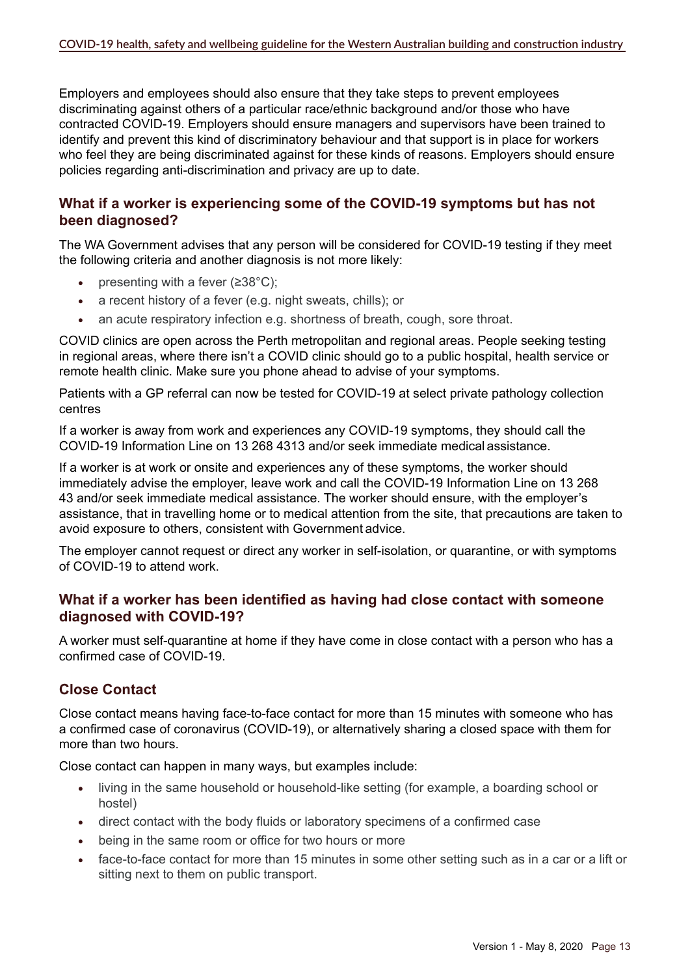Employers and employees should also ensure that they take steps to prevent employees discriminating against others of a particular race/ethnic background and/or those who have contracted COVID-19. Employers should ensure managers and supervisors have been trained to identify and prevent this kind of discriminatory behaviour and that support is in place for workers who feel they are being discriminated against for these kinds of reasons. Employers should ensure policies regarding anti-discrimination and privacy are up to date.

### **What if a worker is experiencing some of the COVID-19 symptoms but has not been diagnosed?**

The WA Government advises that any person will be considered for COVID-19 testing if they meet the following criteria and another diagnosis is not more likely:

- presenting with a fever  $(≥38°C)$ ;
- a recent history of a fever (e.g. night sweats, chills); or
- an acute respiratory infection e.g. shortness of breath, cough, sore throat.

COVID clinics are open across the Perth metropolitan and regional areas. People seeking testing in regional areas, where there isn't a COVID clinic should go to a public hospital, health service or remote health clinic. Make sure you phone ahead to advise of your symptoms.

Patients with a GP referral can now be tested for COVID-19 at select private pathology collection centres

If a worker is away from work and experiences any COVID-19 symptoms, they should call the COVID-19 Information Line on 13 268 4313 and/or seek immediate medical assistance.

If a worker is at work or onsite and experiences any of these symptoms, the worker should immediately advise the employer, leave work and call the COVID-19 Information Line on 13 268 43 and/or seek immediate medical assistance. The worker should ensure, with the employer's assistance, that in travelling home or to medical attention from the site, that precautions are taken to avoid exposure to others, consistent with Government advice.

The employer cannot request or direct any worker in self-isolation, or quarantine, or with symptoms of COVID-19 to attend work.

#### **What if a worker has been identified as having had close contact with someone diagnosed with COVID-19?**

A worker must self-quarantine at home if they have come in close contact with a person who has a confirmed case of COVID-19.

# **Close Contact**

Close contact means having face-to-face contact for more than 15 minutes with someone who has a confirmed case of coronavirus (COVID-19), or alternatively sharing a closed space with them for more than two hours.

Close contact can happen in many ways, but examples include:

- living in the same household or household-like setting (for example, a boarding school or hostel)
- direct contact with the body fluids or laboratory specimens of a confirmed case
- being in the same room or office for two hours or more
- face-to-face contact for more than 15 minutes in some other setting such as in a car or a lift or sitting next to them on public transport.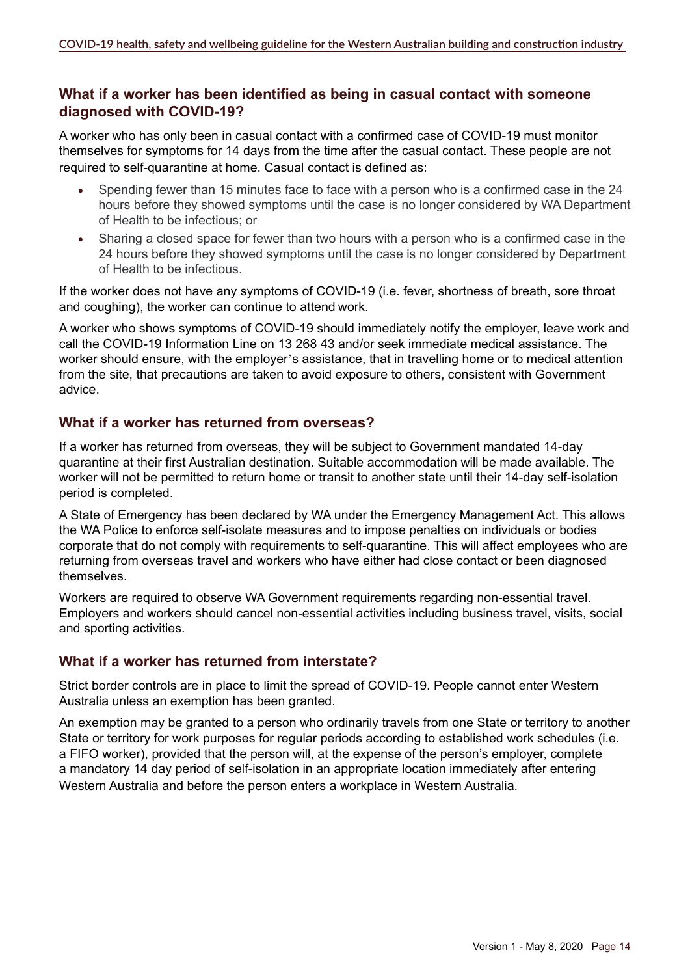### **What if a worker has been identified as being in casual contact with someone diagnosed with COVID-19?**

A worker who has only been in casual contact with a confirmed case of COVID-19 must monitor themselves for symptoms for 14 days from the time after the casual contact. These people are not required to self-quarantine at home. Casual contact is defined as:

- Spending fewer than 15 minutes face to face with a person who is a confirmed case in the 24 hours before they showed symptoms until the case is no longer considered by WA Department of Health to be infectious; or
- Sharing a closed space for fewer than two hours with a person who is a confirmed case in the 24 hours before they showed symptoms until the case is no longer considered by Department of Health to be infectious.

If the worker does not have any symptoms of COVID-19 (i.e. fever, shortness of breath, sore throat and coughing), the worker can continue to attend work.

A worker who shows symptoms of COVID-19 should immediately notify the employer, leave work and call the COVID-19 Information Line on 13 268 43 and/or seek immediate medical assistance. The worker should ensure, with the employer's assistance, that in travelling home or to medical attention from the site, that precautions are taken to avoid exposure to others, consistent with Government advice.

# **What if a worker has returned from overseas?**

If a worker has returned from overseas, they will be subject to Government mandated 14-day quarantine at their first Australian destination. Suitable accommodation will be made available. The worker will not be permitted to return home or transit to another state until their 14-day self-isolation period is completed.

A State of Emergency has been declared by WA under the Emergency Management Act. This allows the WA Police to enforce self-isolate measures and to impose penalties on individuals or bodies corporate that do not comply with requirements to self-quarantine. This will affect employees who are returning from overseas travel and workers who have either had close contact or been diagnosed themselves.

Workers are required to observe WA Government requirements regarding non-essential travel. Employers and workers should cancel non-essential activities including business travel, visits, social and sporting activities.

# **What if a worker has returned from interstate?**

Strict border controls are in place to limit the spread of COVID-19. People cannot enter Western Australia unless an exemption has been granted.

An exemption may be granted to a person who ordinarily travels from one State or territory to another State or territory for work purposes for regular periods according to established work schedules (i.e. a FIFO worker), provided that the person will, at the expense of the person's employer, complete a mandatory 14 day period of self-isolation in an appropriate location immediately after entering Western Australia and before the person enters a workplace in Western Australia.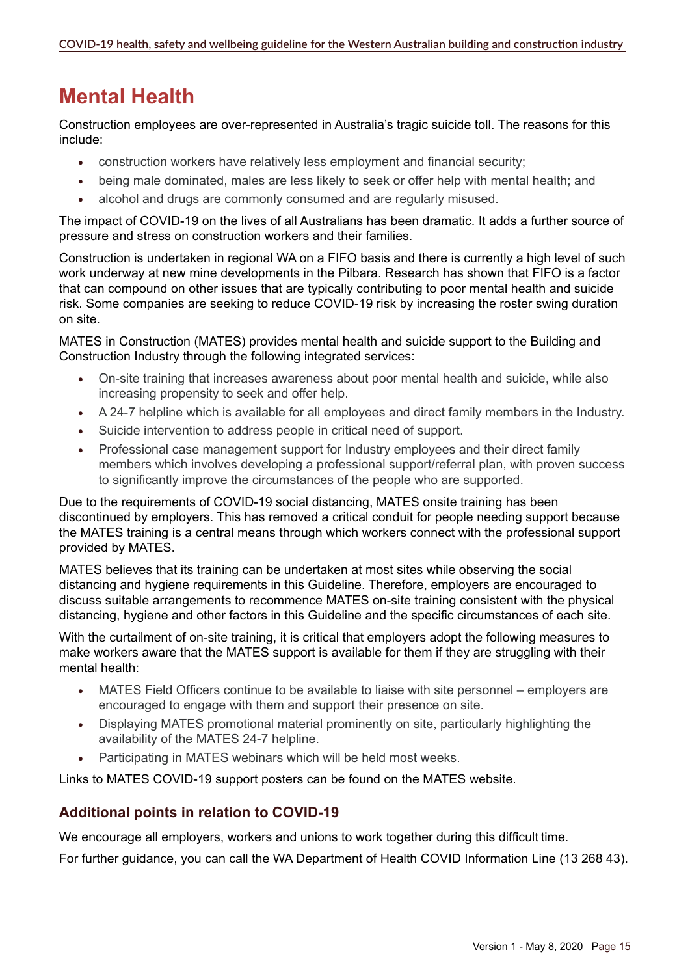# **Mental Health**

Construction employees are over-represented in Australia's tragic suicide toll. The reasons for this include:

- • construction workers have relatively less employment and financial security;
- being male dominated, males are less likely to seek or offer help with mental health; and
- alcohol and drugs are commonly consumed and are regularly misused.

The impact of COVID-19 on the lives of all Australians has been dramatic. It adds a further source of pressure and stress on construction workers and their families.

Construction is undertaken in regional WA on a FIFO basis and there is currently a high level of such work underway at new mine developments in the Pilbara. Research has shown that FIFO is a factor that can compound on other issues that are typically contributing to poor mental health and suicide risk. Some companies are seeking to reduce COVID-19 risk by increasing the roster swing duration on site.

MATES in Construction (MATES) provides mental health and suicide support to the Building and Construction Industry through the following integrated services:

- On-site training that increases awareness about poor mental health and suicide, while also increasing propensity to seek and offer help.
- • A 24-7 helpline which is available for all employees and direct family members in the Industry.
- Suicide intervention to address people in critical need of support.
- Professional case management support for Industry employees and their direct family members which involves developing a professional support/referral plan, with proven success to significantly improve the circumstances of the people who are supported.

Due to the requirements of COVID-19 social distancing, MATES onsite training has been discontinued by employers. This has removed a critical conduit for people needing support because the MATES training is a central means through which workers connect with the professional support provided by MATES.

MATES believes that its training can be undertaken at most sites while observing the social distancing and hygiene requirements in this Guideline. Therefore, employers are encouraged to discuss suitable arrangements to recommence MATES on-site training consistent with the physical distancing, hygiene and other factors in this Guideline and the specific circumstances of each site.

With the curtailment of on-site training, it is critical that employers adopt the following measures to make workers aware that the MATES support is available for them if they are struggling with their mental health:

- MATES Field Officers continue to be available to liaise with site personnel employers are encouraged to engage with them and support their presence on site.
- Displaying MATES promotional material prominently on site, particularly highlighting the availability of the MATES 24-7 helpline.
- Participating in MATES webinars which will be held most weeks.

Links to MATES COVID-19 support posters can be found on the MATES website.

# **Additional points in relation to COVID-19**

We encourage all employers, workers and unions to work together during this difficult time.

For further guidance, you can call the WA Department of Health COVID Information Line (13 268 43).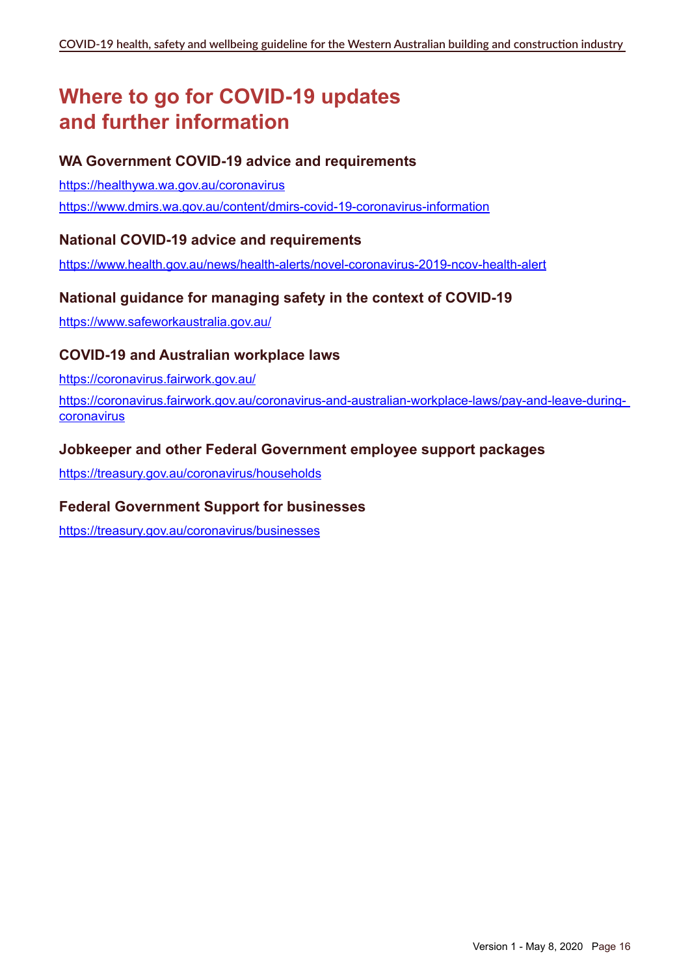# **Where to go for COVID-19 updates and further information**

# **WA Government COVID-19 advice and requirements**

<https://healthywa.wa.gov.au/coronavirus> <https://www.dmirs.wa.gov.au/content/dmirs-covid-19-coronavirus-information>

#### **National COVID-19 advice and requirements**

<https://www.health.gov.au/news/health-alerts/novel-coronavirus-2019-ncov-health-alert>

### **National guidance for managing safety in the context of COVID-19**

<https://www.safeworkaustralia.gov.au/>

#### **COVID-19 and Australian workplace laws**

<https://coronavirus.fairwork.gov.au/>

[https://coronavirus.fairwork.gov.au/coronavirus-and-australian-workplace-laws/pay-and-leave-during](https://coronavirus.fairwork.gov.au/coronavirus-and-australian-workplace-laws/pay-and-leave-during-coronavirus)[coronavirus](https://coronavirus.fairwork.gov.au/coronavirus-and-australian-workplace-laws/pay-and-leave-during-coronavirus)

#### **Jobkeeper and other Federal Government employee support packages**

<https://treasury.gov.au/coronavirus/households>

#### **Federal Government Support for businesses**

<https://treasury.gov.au/coronavirus/businesses>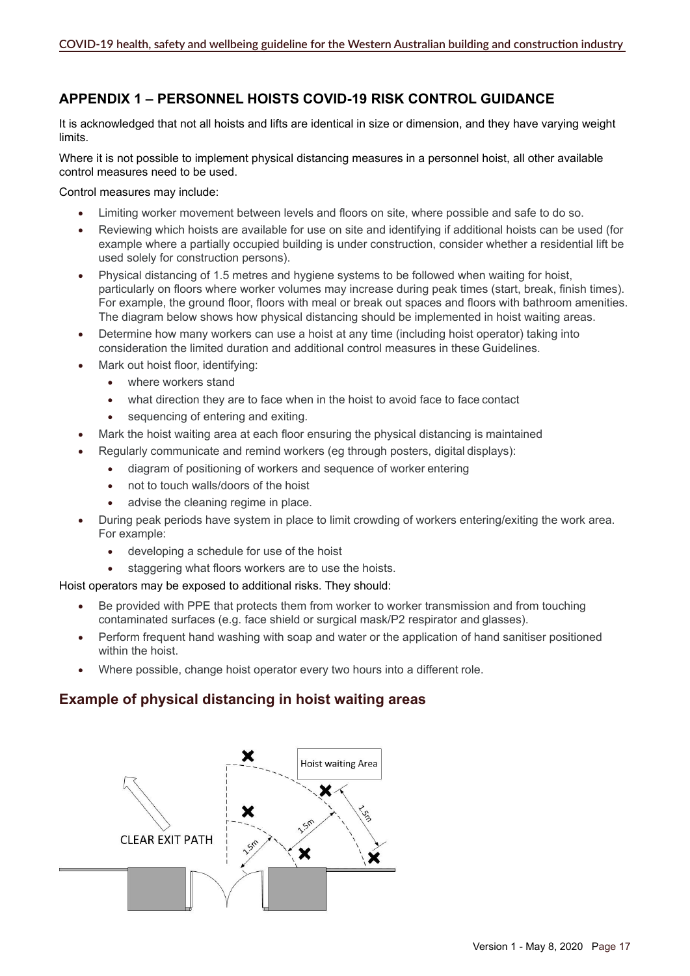# **APPENDIX 1 – PERSONNEL HOISTS COVID-19 RISK CONTROL GUIDANCE**

It is acknowledged that not all hoists and lifts are identical in size or dimension, and they have varying weight limits.

Where it is not possible to implement physical distancing measures in a personnel hoist, all other available control measures need to be used.

Control measures may include:

- Limiting worker movement between levels and floors on site, where possible and safe to do so.
- Reviewing which hoists are available for use on site and identifying if additional hoists can be used (for example where a partially occupied building is under construction, consider whether a residential lift be used solely for construction persons).
- Physical distancing of 1.5 metres and hygiene systems to be followed when waiting for hoist, particularly on floors where worker volumes may increase during peak times (start, break, finish times). For example, the ground floor, floors with meal or break out spaces and floors with bathroom amenities. The diagram below shows how physical distancing should be implemented in hoist waiting areas.
- Determine how many workers can use a hoist at any time (including hoist operator) taking into consideration the limited duration and additional control measures in these Guidelines.
- Mark out hoist floor, identifying:
	- where workers stand
	- what direction they are to face when in the hoist to avoid face to face contact
	- sequencing of entering and exiting.
- Mark the hoist waiting area at each floor ensuring the physical distancing is maintained
- Regularly communicate and remind workers (eg through posters, digital displays):
	- diagram of positioning of workers and sequence of worker entering
	- not to touch walls/doors of the hoist
	- advise the cleaning regime in place.
- During peak periods have system in place to limit crowding of workers entering/exiting the work area. For example:
	- • developing a schedule for use of the hoist
	- staggering what floors workers are to use the hoists.

Hoist operators may be exposed to additional risks. They should:

- Be provided with PPE that protects them from worker to worker transmission and from touching contaminated surfaces (e.g. face shield or surgical mask/P2 respirator and glasses).
- Perform frequent hand washing with soap and water or the application of hand sanitiser positioned within the hoist.
- Where possible, change hoist operator every two hours into a different role.

# **Example of physical distancing in hoist waiting areas**

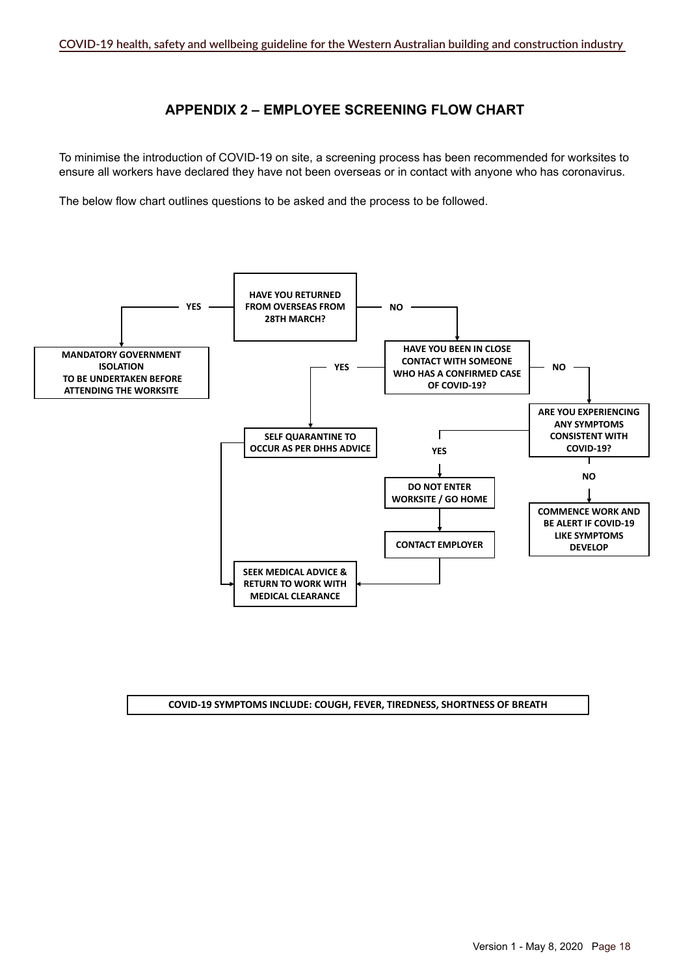#### **APPENDIX 2 – EMPLOYEE SCREENING FLOW CHART**

To minimise the introduction of COVID-19 on site, a screening process has been recommended for worksites to ensure all workers have declared they have not been overseas or in contact with anyone who has coronavirus.

The below flow chart outlines questions to be asked and the process to be followed.



#### **COVID-19 SYMPTOMS INCLUDE: COUGH, FEVER, TIREDNESS, SHORTNESS OF BREATH**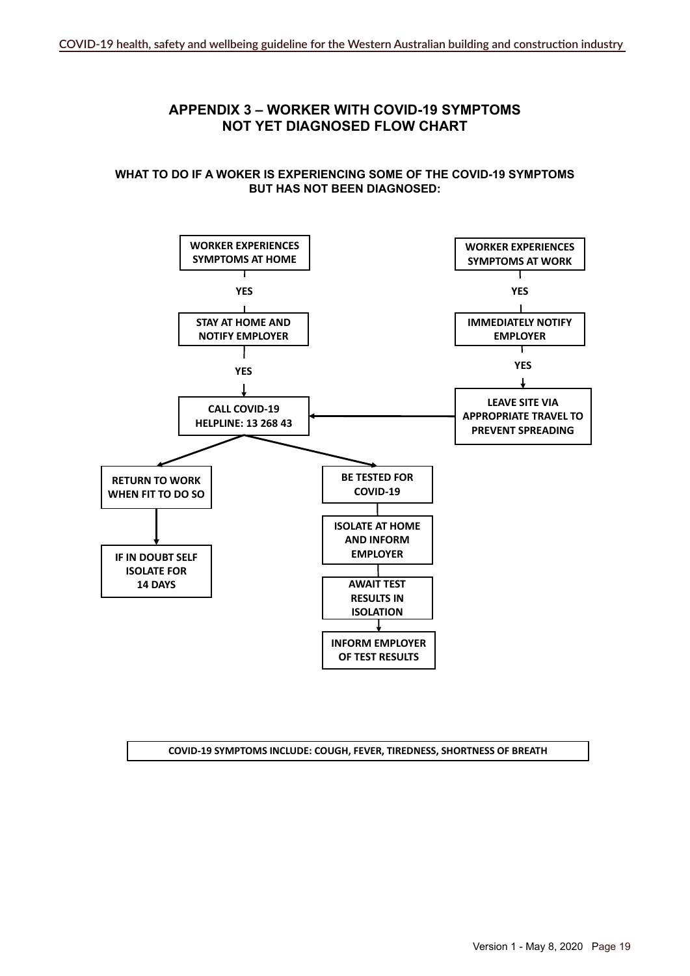#### **APPENDIX 3 – WORKER WITH COVID-19 SYMPTOMS NOT YET DIAGNOSED FLOW CHART**

#### **What to do if a woker is experiencing some of the COVID-19 symptoms but has not been diagnosed:**



#### **COVID-19 SYMPTOMS INCLUDE: COUGH, FEVER, TIREDNESS, SHORTNESS OF BREATH**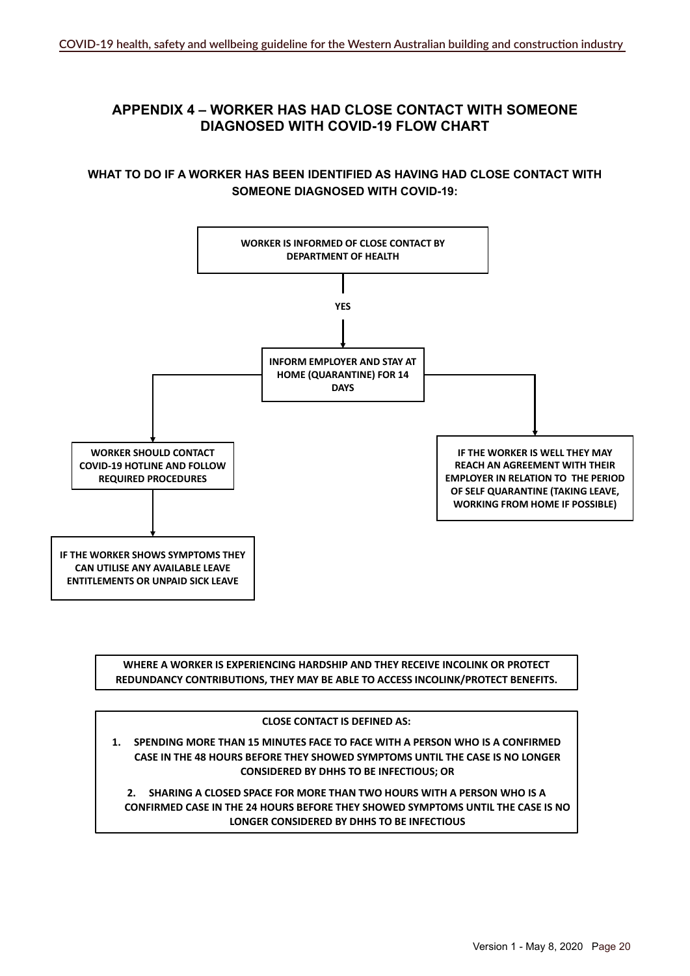### **APPENDIX 4 – WORKER HAS HAD CLOSE CONTACT WITH SOMEONE DIAGNOSED WITH COVID-19 FLOW CHART**

#### **WHAT TO DO IF A WORKER HAS BEEN IDENTIFIED AS HAVING HAD CLOSE CONTACT WITH SOMEONE DIAGNOSED WITH COVID-19:**



**WHERE A WORKER IS EXPERIENCING HARDSHIP AND THEY RECEIVE INCOLINK OR PROTECT REDUNDANCY CONTRIBUTIONS, THEY MAY BE ABLE TO ACCESS INCOLINK/PROTECT BENEFITS.**

#### **CLOSE CONTACT IS DEFINED AS:**

**1. SPENDING MORE THAN 15 MINUTES FACE TO FACE WITH A PERSON WHO IS A CONFIRMED CASE IN THE 48 HOURS BEFORE THEY SHOWED SYMPTOMS UNTIL THE CASE IS NO LONGER CONSIDERED BY DHHS TO BE INFECTIOUS; OR**

**2. SHARING A CLOSED SPACE FOR MORE THAN TWO HOURS WITH A PERSON WHO IS A CONFIRMED CASE IN THE 24 HOURS BEFORE THEY SHOWED SYMPTOMS UNTIL THE CASE IS NO LONGER CONSIDERED BY DHHS TO BE INFECTIOUS**